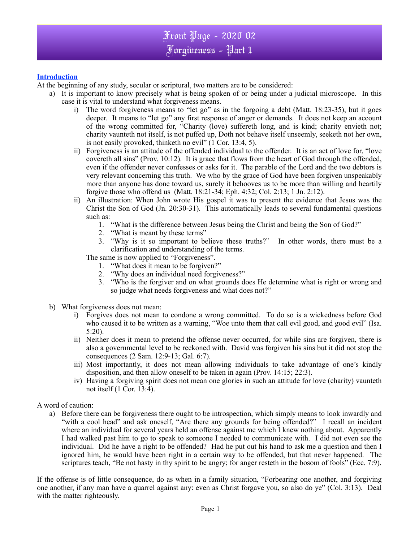

## **Introduction**

At the beginning of any study, secular or scriptural, two matters are to be considered:

- a) It is important to know precisely what is being spoken of or being under a judicial microscope. In this case it is vital to understand what forgiveness means.
	- i) The word forgiveness means to "let go" as in the forgoing a debt (Matt. 18:23-35), but it goes deeper. It means to "let go" any first response of anger or demands. It does not keep an account of the wrong committed for, "Charity (love) suffereth long, and is kind; charity envieth not; charity vaunteth not itself, is not puffed up, Doth not behave itself unseemly, seeketh not her own, is not easily provoked, thinketh no evil" (1 Cor. 13:4, 5).
	- ii) Forgiveness is an attitude of the offended individual to the offender. It is an act of love for, "love covereth all sins" (Prov. 10:12). It is grace that flows from the heart of God through the offended, even if the offender never confesses or asks for it. The parable of the Lord and the two debtors is very relevant concerning this truth. We who by the grace of God have been forgiven unspeakably more than anyone has done toward us, surely it behooves us to be more than willing and heartily forgive those who offend us (Matt. 18:21-34; Eph. 4:32; Col. 2:13; 1 Jn. 2:12).
	- ii) An illustration: When John wrote His gospel it was to present the evidence that Jesus was the Christ the Son of God (Jn. 20:30-31). This automatically leads to several fundamental questions such as:
		- 1. "What is the difference between Jesus being the Christ and being the Son of God?"
		- 2. "What is meant by these terms"
		- 3. "Why is it so important to believe these truths?" In other words, there must be a clarification and understanding of the terms.

The same is now applied to "Forgiveness".

- 1. "What does it mean to be forgiven?"
- 2. "Why does an individual need forgiveness?"
- 3. "Who is the forgiver and on what grounds does He determine what is right or wrong and so judge what needs forgiveness and what does not?"
- b) What forgiveness does not mean:
	- i) Forgives does not mean to condone a wrong committed. To do so is a wickedness before God who caused it to be written as a warning, "Woe unto them that call evil good, and good evil" (Isa. 5:20).
	- ii) Neither does it mean to pretend the offense never occurred, for while sins are forgiven, there is also a governmental level to be reckoned with. David was forgiven his sins but it did not stop the consequences (2 Sam. 12:9-13; Gal. 6:7).
	- iii) Most importantly, it does not mean allowing individuals to take advantage of one's kindly disposition, and then allow oneself to be taken in again (Prov. 14:15; 22:3).
	- iv) Having a forgiving spirit does not mean one glories in such an attitude for love (charity) vaunteth not itself (1 Cor. 13:4).

#### A word of caution:

a) Before there can be forgiveness there ought to be introspection, which simply means to look inwardly and "with a cool head" and ask oneself, "Are there any grounds for being offended?" I recall an incident where an individual for several years held an offense against me which I knew nothing about. Apparently I had walked past him to go to speak to someone I needed to communicate with. I did not even see the individual. Did he have a right to be offended? Had he put out his hand to ask me a question and then I ignored him, he would have been right in a certain way to be offended, but that never happened. The scriptures teach, "Be not hasty in thy spirit to be angry; for anger resteth in the bosom of fools" (Ecc. 7:9).

If the offense is of little consequence, do as when in a family situation, "Forbearing one another, and forgiving one another, if any man have a quarrel against any: even as Christ forgave you, so also do ye" (Col. 3:13). Deal with the matter righteously.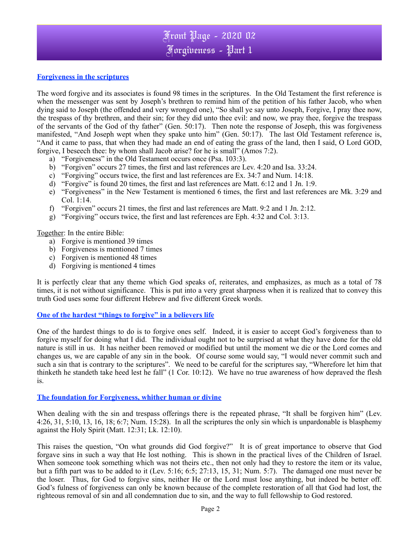## Front Page - 2020 02 Forgiveness - Part 1

## **Forgiveness in the scriptures**

The word forgive and its associates is found 98 times in the scriptures. In the Old Testament the first reference is when the messenger was sent by Joseph's brethren to remind him of the petition of his father Jacob, who when dying said to Joseph (the offended and very wronged one), "So shall ye say unto Joseph, Forgive, I pray thee now, the trespass of thy brethren, and their sin; for they did unto thee evil: and now, we pray thee, forgive the trespass of the servants of the God of thy father" (Gen. 50:17). Then note the response of Joseph, this was forgiveness manifested, "And Joseph wept when they spake unto him" (Gen. 50:17). The last Old Testament reference is, "And it came to pass, that when they had made an end of eating the grass of the land, then I said, O Lord GOD, forgive, I beseech thee: by whom shall Jacob arise? for he is small" (Amos 7:2).

- a) "Forgiveness" in the Old Testament occurs once (Psa. 103:3).
- b) "Forgiven" occurs 27 times, the first and last references are Lev. 4:20 and Isa. 33:24.
- c) "Forgiving" occurs twice, the first and last references are Ex. 34:7 and Num. 14:18.
- d) "Forgive" is found 20 times, the first and last references are Matt. 6:12 and 1 Jn. 1:9.
- e) "Forgiveness" in the New Testament is mentioned 6 times, the first and last references are Mk. 3:29 and Col. 1:14.
- f) "Forgiven" occurs 21 times, the first and last references are Matt. 9:2 and 1 Jn. 2:12.
- g) "Forgiving" occurs twice, the first and last references are Eph. 4:32 and Col. 3:13.

Together: In the entire Bible:

- a) Forgive is mentioned 39 times
- b) Forgiveness is mentioned 7 times
- c) Forgiven is mentioned 48 times
- d) Forgiving is mentioned 4 times

It is perfectly clear that any theme which God speaks of, reiterates, and emphasizes, as much as a total of 78 times, it is not without significance. This is put into a very great sharpness when it is realized that to convey this truth God uses some four different Hebrew and five different Greek words.

#### **One of the hardest "things to forgive" in a believers life**

One of the hardest things to do is to forgive ones self. Indeed, it is easier to accept God's forgiveness than to forgive myself for doing what I did. The individual ought not to be surprised at what they have done for the old nature is still in us. It has neither been removed or modified but until the moment we die or the Lord comes and changes us, we are capable of any sin in the book. Of course some would say, "I would never commit such and such a sin that is contrary to the scriptures". We need to be careful for the scriptures say, "Wherefore let him that thinketh he standeth take heed lest he fall" (1 Cor. 10:12). We have no true awareness of how depraved the flesh is.

#### **The foundation for Forgiveness, whither human or divine**

When dealing with the sin and trespass offerings there is the repeated phrase, "It shall be forgiven him" (Lev. 4:26, 31, 5:10, 13, 16, 18; 6:7; Num. 15:28). In all the scriptures the only sin which is unpardonable is blasphemy against the Holy Spirit (Matt. 12:31; Lk. 12:10).

This raises the question, "On what grounds did God forgive?" It is of great importance to observe that God forgave sins in such a way that He lost nothing. This is shown in the practical lives of the Children of Israel. When someone took something which was not theirs etc., then not only had they to restore the item or its value, but a fifth part was to be added to it (Lev. 5:16; 6:5; 27:13, 15, 31; Num. 5:7). The damaged one must never be the loser. Thus, for God to forgive sins, neither He or the Lord must lose anything, but indeed be better off. God's fulness of forgiveness can only be known because of the complete restoration of all that God had lost, the righteous removal of sin and all condemnation due to sin, and the way to full fellowship to God restored.